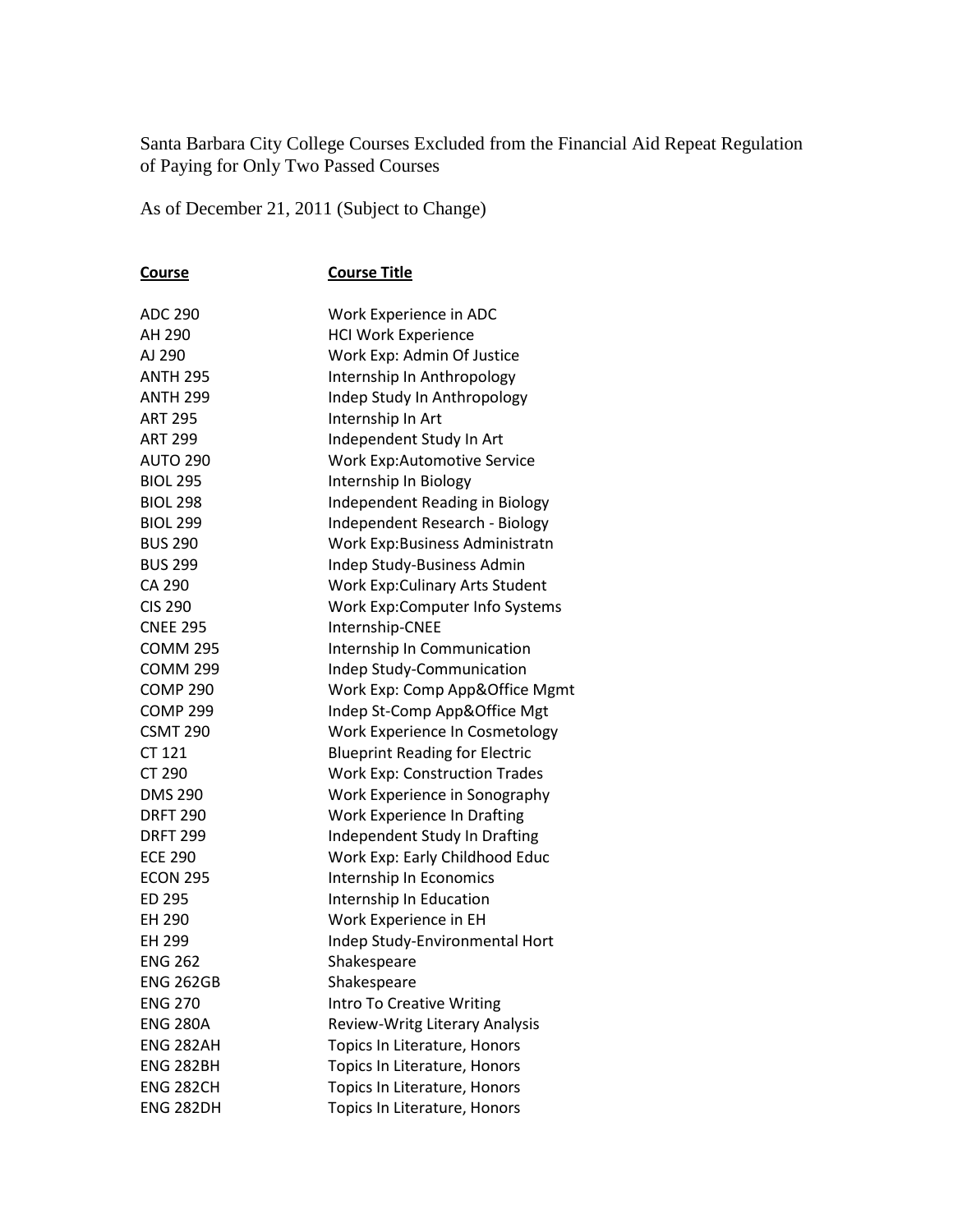Santa Barbara City College Courses Excluded from the Financial Aid Repeat Regulation of Paying for Only Two Passed Courses

As of December 21, 2011 (Subject to Change)

| <u>Course</u>    | <b>Course Title</b>                    |
|------------------|----------------------------------------|
| <b>ADC 290</b>   | Work Experience in ADC                 |
| AH 290           | <b>HCI Work Experience</b>             |
| AJ 290           | Work Exp: Admin Of Justice             |
| <b>ANTH 295</b>  | Internship In Anthropology             |
| <b>ANTH 299</b>  | Indep Study In Anthropology            |
| <b>ART 295</b>   | Internship In Art                      |
| <b>ART 299</b>   | Independent Study In Art               |
| <b>AUTO 290</b>  | <b>Work Exp:Automotive Service</b>     |
| <b>BIOL 295</b>  | Internship In Biology                  |
| <b>BIOL 298</b>  | Independent Reading in Biology         |
| <b>BIOL 299</b>  | Independent Research - Biology         |
| <b>BUS 290</b>   | Work Exp:Business Administratn         |
| <b>BUS 299</b>   | Indep Study-Business Admin             |
| CA 290           | <b>Work Exp: Culinary Arts Student</b> |
| <b>CIS 290</b>   | Work Exp:Computer Info Systems         |
| <b>CNEE 295</b>  | Internship-CNEE                        |
| <b>COMM 295</b>  | Internship In Communication            |
| <b>COMM 299</b>  | Indep Study-Communication              |
| <b>COMP 290</b>  | Work Exp: Comp App&Office Mgmt         |
| <b>COMP 299</b>  | Indep St-Comp App&Office Mgt           |
| <b>CSMT 290</b>  | Work Experience In Cosmetology         |
| CT 121           | <b>Blueprint Reading for Electric</b>  |
| CT 290           | <b>Work Exp: Construction Trades</b>   |
| <b>DMS 290</b>   | Work Experience in Sonography          |
| <b>DRFT 290</b>  | <b>Work Experience In Drafting</b>     |
| <b>DRFT 299</b>  | Independent Study In Drafting          |
| <b>ECE 290</b>   | Work Exp: Early Childhood Educ         |
| <b>ECON 295</b>  | Internship In Economics                |
| ED 295           | Internship In Education                |
| EH 290           | Work Experience in EH                  |
| EH 299           | Indep Study-Environmental Hort         |
| <b>ENG 262</b>   | Shakespeare                            |
| <b>ENG 262GB</b> | Shakespeare                            |
| <b>ENG 270</b>   | <b>Intro To Creative Writing</b>       |
| <b>ENG 280A</b>  | Review-Writg Literary Analysis         |
| ENG 282AH        | Topics In Literature, Honors           |
| <b>ENG 282BH</b> | Topics In Literature, Honors           |
| <b>ENG 282CH</b> | Topics In Literature, Honors           |
| <b>ENG 282DH</b> | Topics In Literature, Honors           |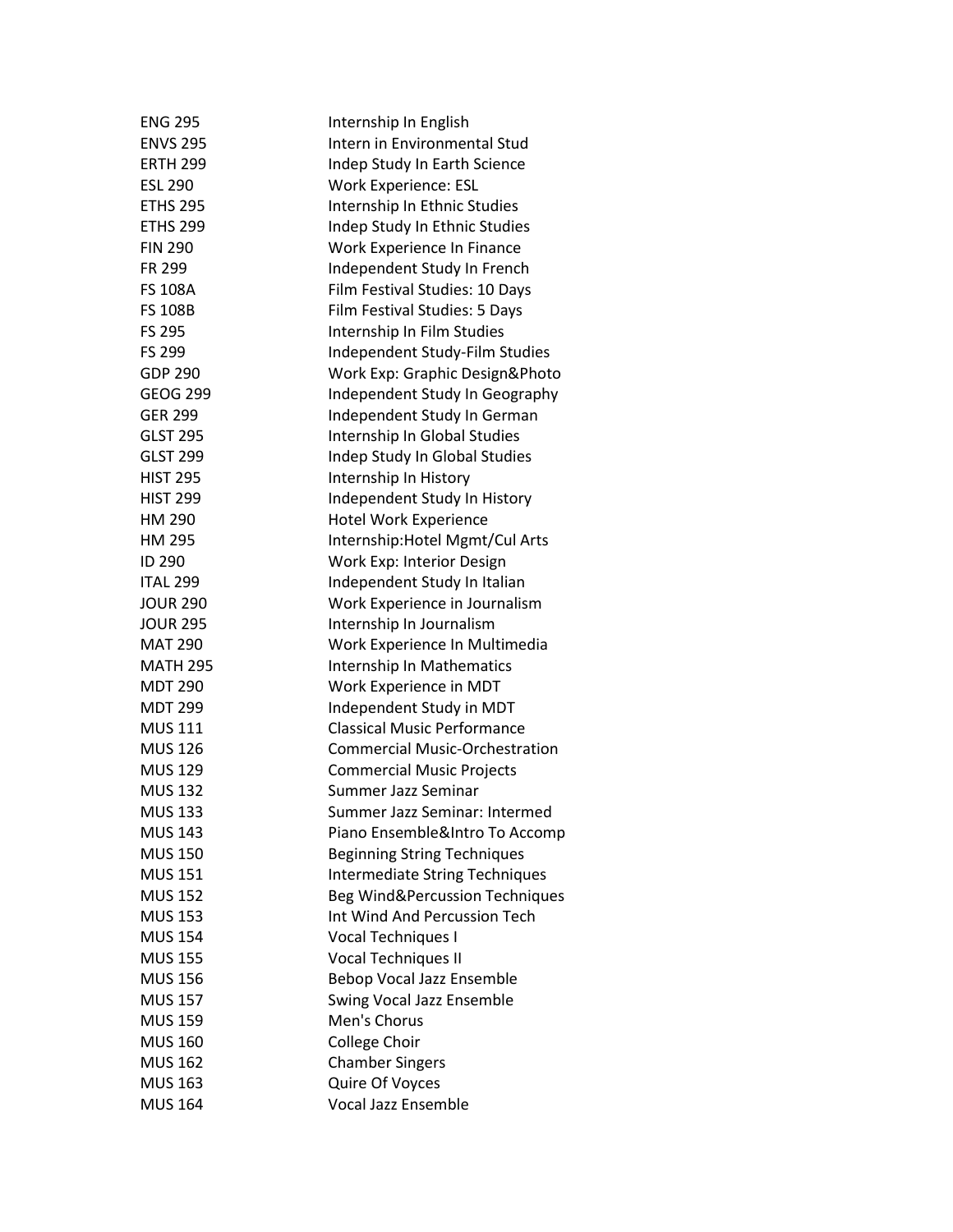| <b>ENG 295</b>  | Internship In English                 |
|-----------------|---------------------------------------|
| <b>ENVS 295</b> | Intern in Environmental Stud          |
| <b>ERTH 299</b> | Indep Study In Earth Science          |
| <b>ESL 290</b>  | <b>Work Experience: ESL</b>           |
| <b>ETHS 295</b> | Internship In Ethnic Studies          |
| <b>ETHS 299</b> | Indep Study In Ethnic Studies         |
| <b>FIN 290</b>  | Work Experience In Finance            |
| FR 299          | Independent Study In French           |
| <b>FS 108A</b>  | Film Festival Studies: 10 Days        |
| <b>FS 108B</b>  | Film Festival Studies: 5 Days         |
| <b>FS 295</b>   | Internship In Film Studies            |
| <b>FS 299</b>   | Independent Study-Film Studies        |
| <b>GDP 290</b>  | Work Exp: Graphic Design&Photo        |
| <b>GEOG 299</b> | Independent Study In Geography        |
| <b>GER 299</b>  | Independent Study In German           |
| <b>GLST 295</b> | Internship In Global Studies          |
| <b>GLST 299</b> | Indep Study In Global Studies         |
| <b>HIST 295</b> | Internship In History                 |
| <b>HIST 299</b> | Independent Study In History          |
| HM 290          | Hotel Work Experience                 |
| HM 295          | Internship: Hotel Mgmt/Cul Arts       |
| ID 290          | Work Exp: Interior Design             |
| <b>ITAL 299</b> | Independent Study In Italian          |
| <b>JOUR 290</b> | Work Experience in Journalism         |
| <b>JOUR 295</b> | Internship In Journalism              |
| <b>MAT 290</b>  | Work Experience In Multimedia         |
| <b>MATH 295</b> | Internship In Mathematics             |
| <b>MDT 290</b>  | Work Experience in MDT                |
| <b>MDT 299</b>  | Independent Study in MDT              |
| <b>MUS 111</b>  | <b>Classical Music Performance</b>    |
| <b>MUS 126</b>  | <b>Commercial Music-Orchestration</b> |
| <b>MUS 129</b>  | <b>Commercial Music Projects</b>      |
| <b>MUS 132</b>  | Summer Jazz Seminar                   |
| <b>MUS 133</b>  | Summer Jazz Seminar: Intermed         |
| <b>MUS 143</b>  | Piano Ensemble&Intro To Accomp        |
| <b>MUS 150</b>  | <b>Beginning String Techniques</b>    |
| <b>MUS 151</b>  | <b>Intermediate String Techniques</b> |
| <b>MUS 152</b>  | Beg Wind&Percussion Techniques        |
| <b>MUS 153</b>  | Int Wind And Percussion Tech          |
| <b>MUS 154</b>  | Vocal Techniques I                    |
| <b>MUS 155</b>  | Vocal Techniques II                   |
| <b>MUS 156</b>  | Bebop Vocal Jazz Ensemble             |
| <b>MUS 157</b>  | Swing Vocal Jazz Ensemble             |
| <b>MUS 159</b>  | Men's Chorus                          |
| <b>MUS 160</b>  | College Choir                         |
| <b>MUS 162</b>  | <b>Chamber Singers</b>                |
| <b>MUS 163</b>  | Quire Of Voyces                       |
| <b>MUS 164</b>  | Vocal Jazz Ensemble                   |
|                 |                                       |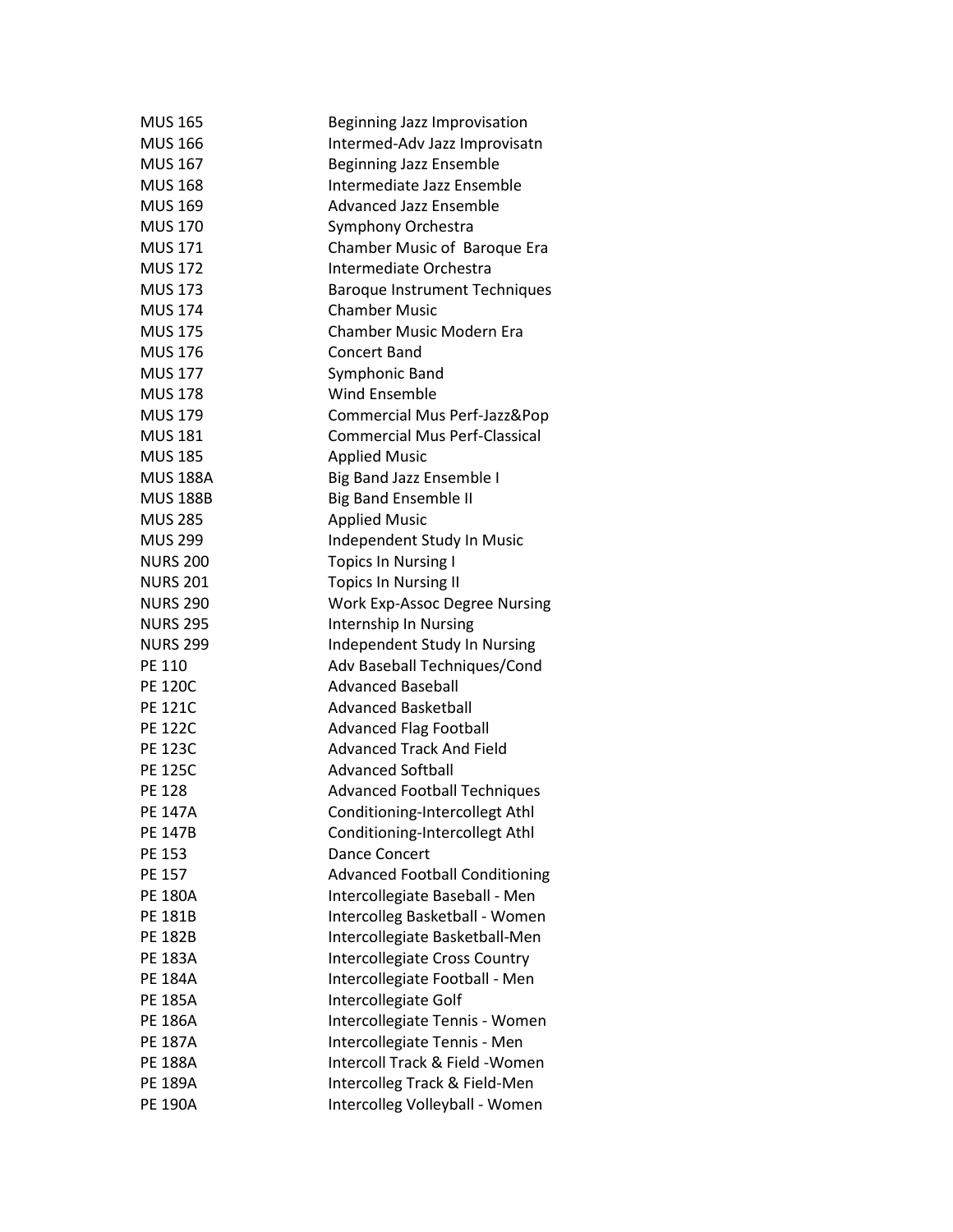| <b>MUS 165</b>  | Beginning Jazz Improvisation          |
|-----------------|---------------------------------------|
| <b>MUS 166</b>  | Intermed-Adv Jazz Improvisatn         |
| <b>MUS 167</b>  | Beginning Jazz Ensemble               |
| <b>MUS 168</b>  | Intermediate Jazz Ensemble            |
| <b>MUS 169</b>  | <b>Advanced Jazz Ensemble</b>         |
| <b>MUS 170</b>  | Symphony Orchestra                    |
| <b>MUS 171</b>  | Chamber Music of Baroque Era          |
| <b>MUS 172</b>  | Intermediate Orchestra                |
| <b>MUS 173</b>  | <b>Baroque Instrument Techniques</b>  |
| <b>MUS 174</b>  | <b>Chamber Music</b>                  |
| <b>MUS 175</b>  | <b>Chamber Music Modern Era</b>       |
| <b>MUS 176</b>  | <b>Concert Band</b>                   |
| <b>MUS 177</b>  | Symphonic Band                        |
| <b>MUS 178</b>  | <b>Wind Ensemble</b>                  |
| <b>MUS 179</b>  | Commercial Mus Perf-Jazz&Pop          |
| <b>MUS 181</b>  | <b>Commercial Mus Perf-Classical</b>  |
| <b>MUS 185</b>  | <b>Applied Music</b>                  |
| <b>MUS 188A</b> | Big Band Jazz Ensemble I              |
| <b>MUS 188B</b> | <b>Big Band Ensemble II</b>           |
| <b>MUS 285</b>  | <b>Applied Music</b>                  |
| <b>MUS 299</b>  | Independent Study In Music            |
| <b>NURS 200</b> | <b>Topics In Nursing I</b>            |
| <b>NURS 201</b> | <b>Topics In Nursing II</b>           |
| <b>NURS 290</b> |                                       |
|                 | <b>Work Exp-Assoc Degree Nursing</b>  |
| <b>NURS 295</b> | Internship In Nursing                 |
| <b>NURS 299</b> | Independent Study In Nursing          |
| PE 110          | Adv Baseball Techniques/Cond          |
| <b>PE 120C</b>  | <b>Advanced Baseball</b>              |
| <b>PE 121C</b>  | <b>Advanced Basketball</b>            |
| <b>PE 122C</b>  | <b>Advanced Flag Football</b>         |
| <b>PE 123C</b>  | <b>Advanced Track And Field</b>       |
| <b>PE 125C</b>  | <b>Advanced Softball</b>              |
| <b>PE 128</b>   | <b>Advanced Football Techniques</b>   |
| <b>PE 147A</b>  | Conditioning-Intercollegt Athl        |
| <b>PE 147B</b>  | Conditioning-Intercollegt Athl        |
| PE 153          | <b>Dance Concert</b>                  |
| PE 157          | <b>Advanced Football Conditioning</b> |
| <b>PE 180A</b>  | Intercollegiate Baseball - Men        |
| PE 181B         | Intercolleg Basketball - Women        |
| <b>PE 182B</b>  | Intercollegiate Basketball-Men        |
| <b>PE 183A</b>  | Intercollegiate Cross Country         |
| <b>PE 184A</b>  | Intercollegiate Football - Men        |
| <b>PE 185A</b>  | Intercollegiate Golf                  |
| <b>PE 186A</b>  | Intercollegiate Tennis - Women        |
| <b>PE 187A</b>  | Intercollegiate Tennis - Men          |
| <b>PE 188A</b>  | Intercoll Track & Field - Women       |
| <b>PE 189A</b>  | Intercolleg Track & Field-Men         |
| <b>PE 190A</b>  | Intercolleg Volleyball - Women        |